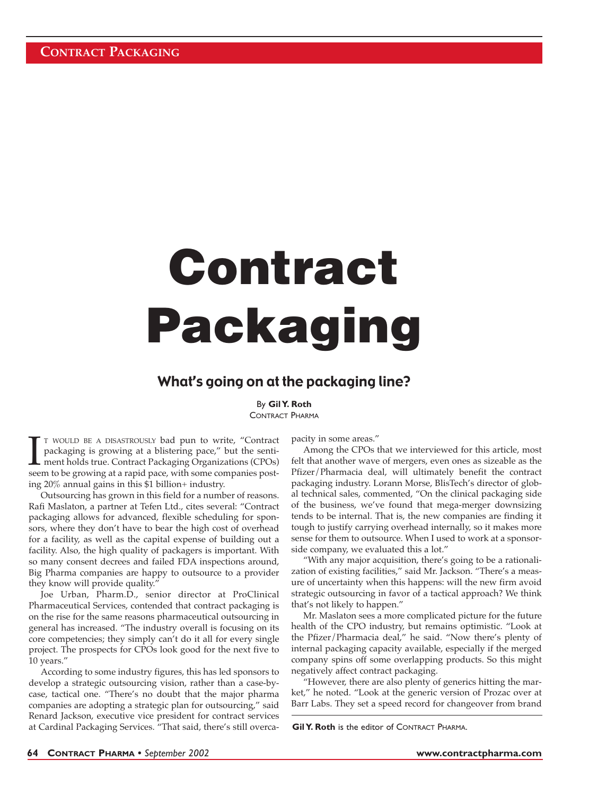# **Contract Packaging**

## What's going on at the packaging line?

## By **Gil Y. Roth**

CONTRACT PHARMA

T WOULD BE A DISASTROUSLY bad pun to write, "Contract packaging is growing at a blistering pace," but the senti-<br>ment holds true. Contract Packaging Organizations (CPOs) seem to be growing at a rapid pace, with some compan T WOULD BE A DISASTROUSLY bad pun to write, "Contract packaging is growing at a blistering pace," but the sentiment holds true. Contract Packaging Organizations (CPOs) ing 20% annual gains in this \$1 billion+ industry.

Outsourcing has grown in this field for a number of reasons. Rafi Maslaton, a partner at Tefen Ltd., cites several: "Contract packaging allows for advanced, flexible scheduling for sponsors, where they don't have to bear the high cost of overhead for a facility, as well as the capital expense of building out a facility. Also, the high quality of packagers is important. With so many consent decrees and failed FDA inspections around, Big Pharma companies are happy to outsource to a provider they know will provide quality."

Joe Urban, Pharm.D., senior director at ProClinical Pharmaceutical Services, contended that contract packaging is on the rise for the same reasons pharmaceutical outsourcing in general has increased. "The industry overall is focusing on its core competencies; they simply can't do it all for every single project. The prospects for CPOs look good for the next five to 10 years."

According to some industry figures, this has led sponsors to develop a strategic outsourcing vision, rather than a case-bycase, tactical one. "There's no doubt that the major pharma companies are adopting a strategic plan for outsourcing," said Renard Jackson, executive vice president for contract services at Cardinal Packaging Services. "That said, there's still overcapacity in some areas."

Among the CPOs that we interviewed for this article, most felt that another wave of mergers, even ones as sizeable as the Pfizer/Pharmacia deal, will ultimately benefit the contract packaging industry. Lorann Morse, BlisTech's director of global technical sales, commented, "On the clinical packaging side of the business, we've found that mega-merger downsizing tends to be internal. That is, the new companies are finding it tough to justify carrying overhead internally, so it makes more sense for them to outsource. When I used to work at a sponsorside company, we evaluated this a lot."

"With any major acquisition, there's going to be a rationalization of existing facilities," said Mr. Jackson. "There's a measure of uncertainty when this happens: will the new firm avoid strategic outsourcing in favor of a tactical approach? We think that's not likely to happen."

Mr. Maslaton sees a more complicated picture for the future health of the CPO industry, but remains optimistic. "Look at the Pfizer/Pharmacia deal," he said. "Now there's plenty of internal packaging capacity available, especially if the merged company spins off some overlapping products. So this might negatively affect contract packaging.

"However, there are also plenty of generics hitting the market," he noted. "Look at the generic version of Prozac over at Barr Labs. They set a speed record for changeover from brand

**Gil Y. Roth** is the editor of CONTRACT PHARMA.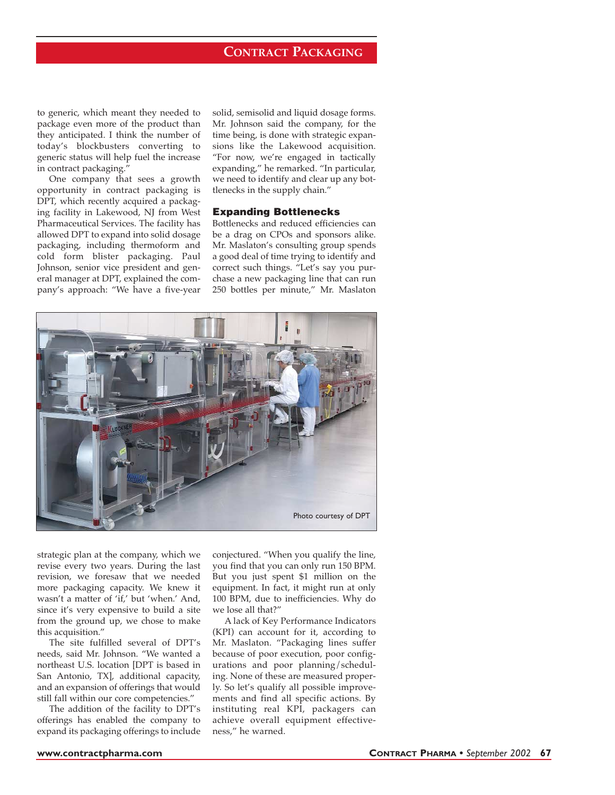## **CONTRACT PACKAGING**

to generic, which meant they needed to package even more of the product than they anticipated. I think the number of today's blockbusters converting to generic status will help fuel the increase in contract packaging.<sup>"</sup>

One company that sees a growth opportunity in contract packaging is DPT, which recently acquired a packaging facility in Lakewood, NJ from West Pharmaceutical Services. The facility has allowed DPT to expand into solid dosage packaging, including thermoform and cold form blister packaging. Paul Johnson, senior vice president and general manager at DPT, explained the company's approach: "We have a five-year solid, semisolid and liquid dosage forms. Mr. Johnson said the company, for the time being, is done with strategic expansions like the Lakewood acquisition. "For now, we're engaged in tactically expanding," he remarked. "In particular, we need to identify and clear up any bottlenecks in the supply chain."

#### **Expanding Bottlenecks**

Bottlenecks and reduced efficiencies can be a drag on CPOs and sponsors alike. Mr. Maslaton's consulting group spends a good deal of time trying to identify and correct such things. "Let's say you purchase a new packaging line that can run 250 bottles per minute," Mr. Maslaton



strategic plan at the company, which we revise every two years. During the last revision, we foresaw that we needed more packaging capacity. We knew it wasn't a matter of 'if,' but 'when.' And, since it's very expensive to build a site from the ground up, we chose to make this acquisition."

The site fulfilled several of DPT's needs, said Mr. Johnson. "We wanted a northeast U.S. location [DPT is based in San Antonio, TX], additional capacity, and an expansion of offerings that would still fall within our core competencies."

The addition of the facility to DPT's offerings has enabled the company to expand its packaging offerings to include conjectured. "When you qualify the line, you find that you can only run 150 BPM. But you just spent \$1 million on the equipment. In fact, it might run at only 100 BPM, due to inefficiencies. Why do we lose all that?"

A lack of Key Performance Indicators (KPI) can account for it, according to Mr. Maslaton. "Packaging lines suffer because of poor execution, poor configurations and poor planning/scheduling. None of these are measured properly. So let's qualify all possible improvements and find all specific actions. By instituting real KPI, packagers can achieve overall equipment effectiveness," he warned.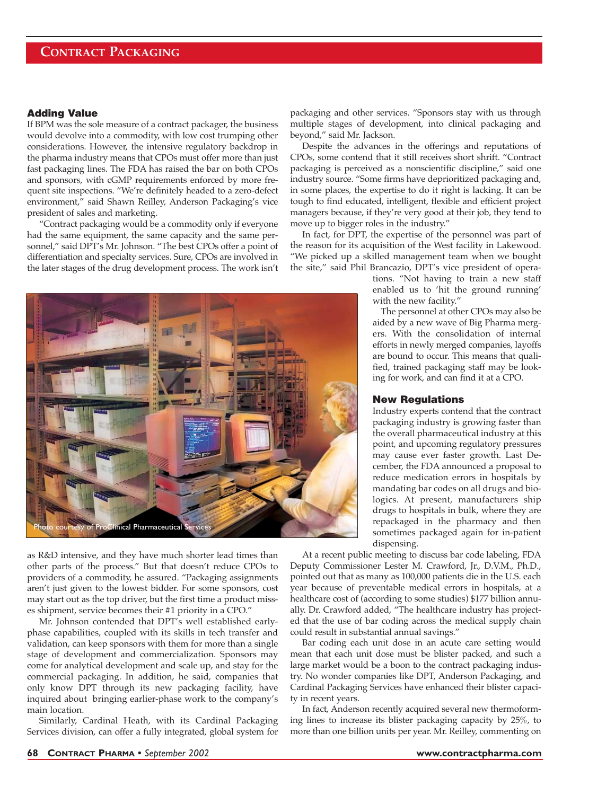# **CONTRACT PACKAGING**

## **Adding Value**

If BPM was the sole measure of a contract packager, the business would devolve into a commodity, with low cost trumping other considerations. However, the intensive regulatory backdrop in the pharma industry means that CPOs must offer more than just fast packaging lines. The FDA has raised the bar on both CPOs and sponsors, with cGMP requirements enforced by more frequent site inspections. "We're definitely headed to a zero-defect environment," said Shawn Reilley, Anderson Packaging's vice president of sales and marketing.

"Contract packaging would be a commodity only if everyone had the same equipment, the same capacity and the same personnel," said DPT's Mr. Johnson. "The best CPOs offer a point of differentiation and specialty services. Sure, CPOs are involved in the later stages of the drug development process. The work isn't



as R&D intensive, and they have much shorter lead times than other parts of the process." But that doesn't reduce CPOs to providers of a commodity, he assured. "Packaging assignments aren't just given to the lowest bidder. For some sponsors, cost may start out as the top driver, but the first time a product misses shipment, service becomes their #1 priority in a CPO."

Mr. Johnson contended that DPT's well established earlyphase capabilities, coupled with its skills in tech transfer and validation, can keep sponsors with them for more than a single stage of development and commercialization. Sponsors may come for analytical development and scale up, and stay for the commercial packaging. In addition, he said, companies that only know DPT through its new packaging facility, have inquired about bringing earlier-phase work to the company's main location.

Similarly, Cardinal Heath, with its Cardinal Packaging Services division, can offer a fully integrated, global system for packaging and other services. "Sponsors stay with us through multiple stages of development, into clinical packaging and beyond," said Mr. Jackson.

Despite the advances in the offerings and reputations of CPOs, some contend that it still receives short shrift. "Contract packaging is perceived as a nonscientific discipline," said one industry source. "Some firms have deprioritized packaging and, in some places, the expertise to do it right is lacking. It can be tough to find educated, intelligent, flexible and efficient project managers because, if they're very good at their job, they tend to move up to bigger roles in the industry."

In fact, for DPT, the expertise of the personnel was part of the reason for its acquisition of the West facility in Lakewood. "We picked up a skilled management team when we bought the site," said Phil Brancazio, DPT's vice president of opera-

> tions. "Not having to train a new staff enabled us to 'hit the ground running' with the new facility."

> The personnel at other CPOs may also be aided by a new wave of Big Pharma mergers. With the consolidation of internal efforts in newly merged companies, layoffs are bound to occur. This means that qualified, trained packaging staff may be looking for work, and can find it at a CPO.

## **New Regulations**

Industry experts contend that the contract packaging industry is growing faster than the overall pharmaceutical industry at this point, and upcoming regulatory pressures may cause ever faster growth. Last December, the FDA announced a proposal to reduce medication errors in hospitals by mandating bar codes on all drugs and biologics. At present, manufacturers ship drugs to hospitals in bulk, where they are repackaged in the pharmacy and then sometimes packaged again for in-patient dispensing.

At a recent public meeting to discuss bar code labeling, FDA Deputy Commissioner Lester M. Crawford, Jr., D.V.M., Ph.D., pointed out that as many as 100,000 patients die in the U.S. each year because of preventable medical errors in hospitals, at a healthcare cost of (according to some studies) \$177 billion annually. Dr. Crawford added, "The healthcare industry has projected that the use of bar coding across the medical supply chain could result in substantial annual savings."

Bar coding each unit dose in an acute care setting would mean that each unit dose must be blister packed, and such a large market would be a boon to the contract packaging industry. No wonder companies like DPT, Anderson Packaging, and Cardinal Packaging Services have enhanced their blister capacity in recent years.

In fact, Anderson recently acquired several new thermoforming lines to increase its blister packaging capacity by 25%, to more than one billion units per year. Mr. Reilley, commenting on